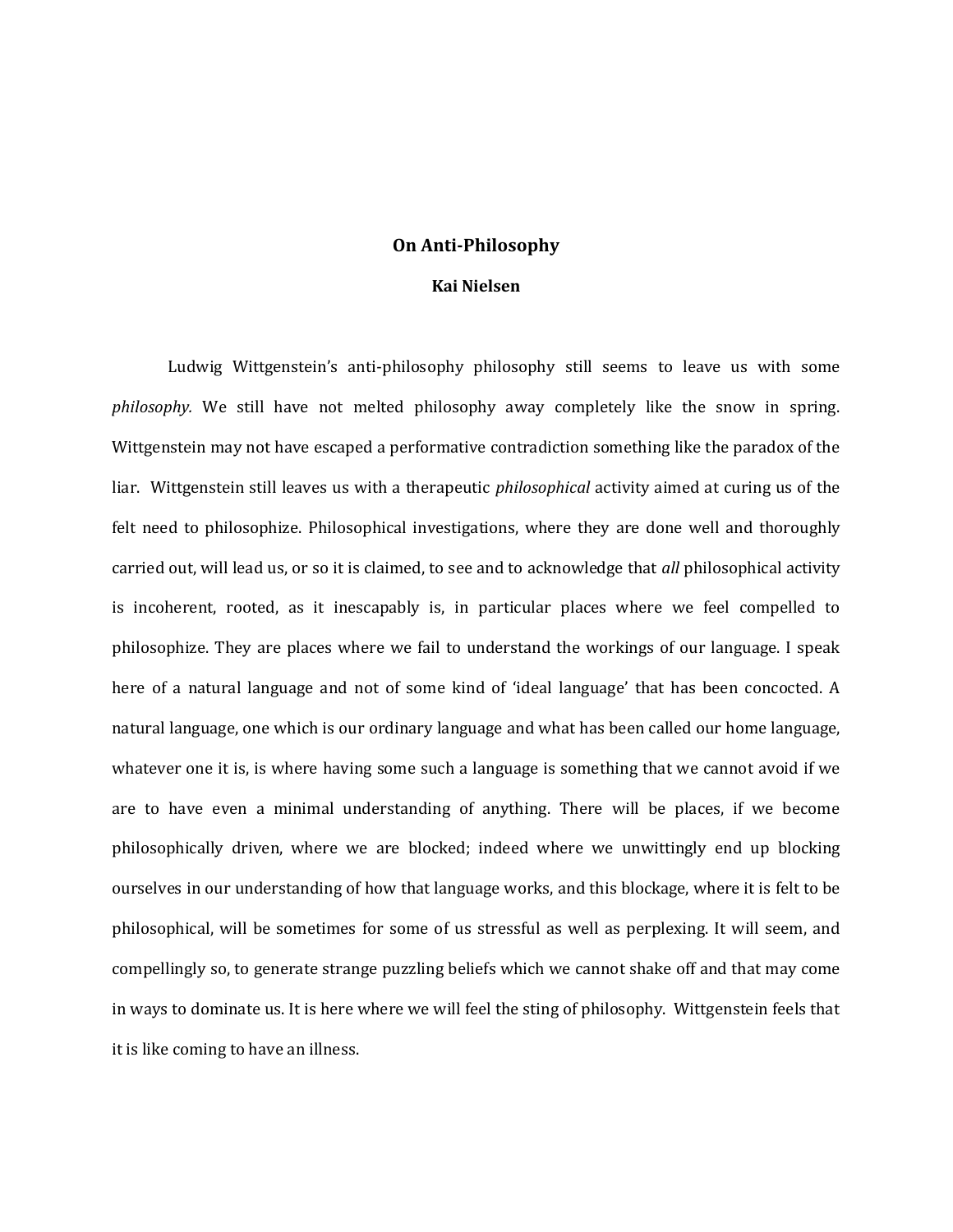## **On Anti-Philosophy**

## **Kai Nielsen**

Ludwig Wittgenstein's anti-philosophy philosophy still seems to leave us with some *philosophy.* We still have not melted philosophy away completely like the snow in spring. Wittgenstein may not have escaped a performative contradiction something like the paradox of the liar. Wittgenstein still leaves us with a therapeutic *philosophical* activity aimed at curing us of the felt need to philosophize. Philosophical investigations, where they are done well and thoroughly carried out, will lead us, or so it is claimed, to see and to acknowledge that *all* philosophical activity is incoherent, rooted, as it inescapably is, in particular places where we feel compelled to philosophize. They are places where we fail to understand the workings of our language. I speak here of a natural language and not of some kind of 'ideal language' that has been concocted. A natural language, one which is our ordinary language and what has been called our home language, whatever one it is, is where having some such a language is something that we cannot avoid if we are to have even a minimal understanding of anything. There will be places, if we become philosophically driven, where we are blocked; indeed where we unwittingly end up blocking ourselves in our understanding of how that language works, and this blockage, where it is felt to be philosophical, will be sometimes for some of us stressful as well as perplexing. It will seem, and compellingly so, to generate strange puzzling beliefs which we cannot shake off and that may come in ways to dominate us. It is here where we will feel the sting of philosophy. Wittgenstein feels that it is like coming to have an illness.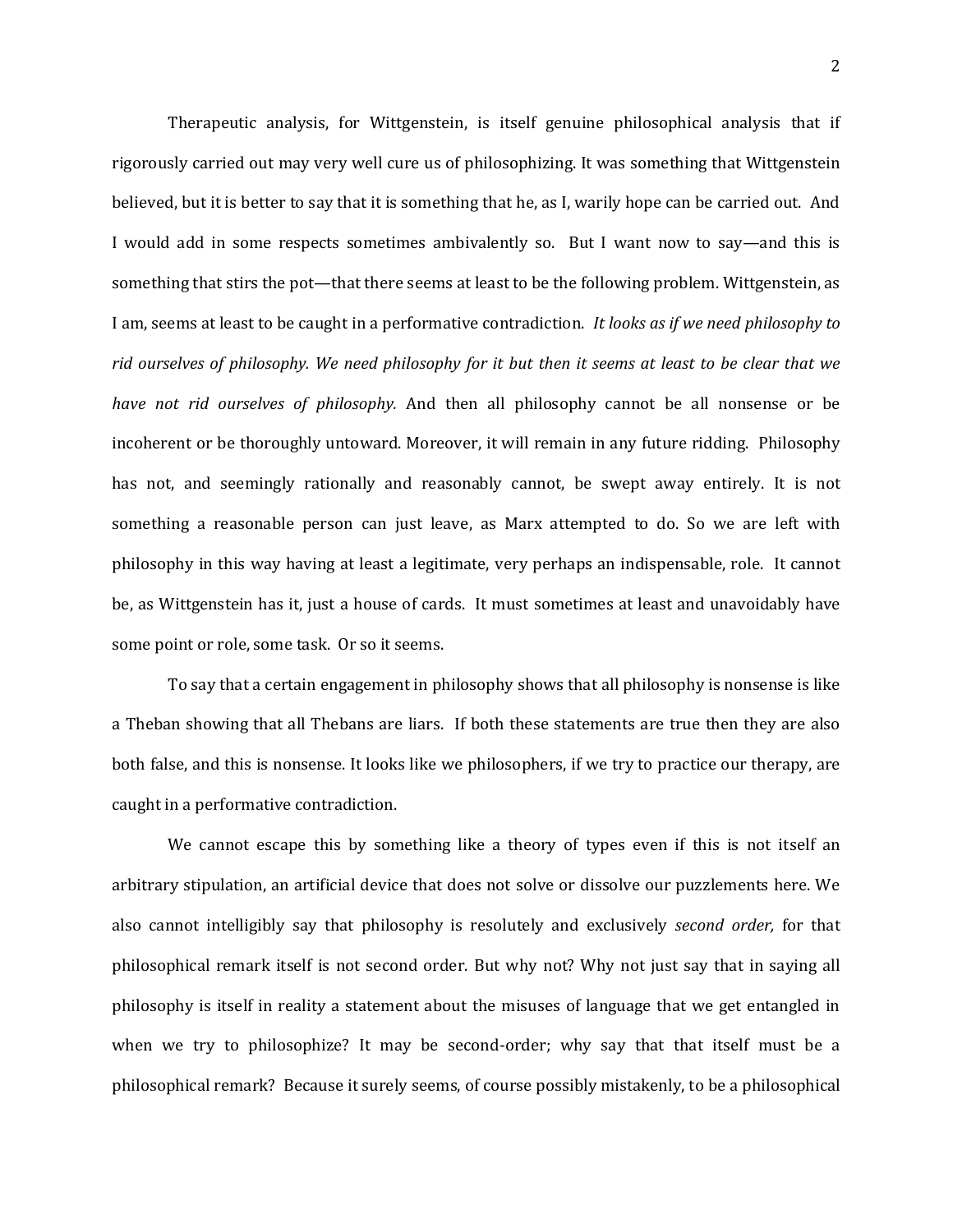Therapeutic analysis, for Wittgenstein, is itself genuine philosophical analysis that if rigorously carried out may very well cure us of philosophizing. It was something that Wittgenstein believed, but it is better to say that it is something that he, as I, warily hope can be carried out. And I would add in some respects sometimes ambivalently so. But I want now to say—and this is something that stirs the pot—that there seems at least to be the following problem. Wittgenstein, as I am, seems at least to be caught in a performative contradiction. *It looks as if we need philosophy to rid ourselves of philosophy. We need philosophy for it but then it seems at least to be clear that we have not rid ourselves of philosophy.* And then all philosophy cannot be all nonsense or be incoherent or be thoroughly untoward. Moreover, it will remain in any future ridding. Philosophy has not, and seemingly rationally and reasonably cannot, be swept away entirely. It is not something a reasonable person can just leave, as Marx attempted to do. So we are left with philosophy in this way having at least a legitimate, very perhaps an indispensable, role. It cannot be, as Wittgenstein has it, just a house of cards. It must sometimes at least and unavoidably have some point or role, some task. Or so it seems.

To say that a certain engagement in philosophy shows that all philosophy is nonsense is like a Theban showing that all Thebans are liars. If both these statements are true then they are also both false, and this is nonsense. It looks like we philosophers, if we try to practice our therapy, are caught in a performative contradiction.

We cannot escape this by something like a theory of types even if this is not itself an arbitrary stipulation, an artificial device that does not solve or dissolve our puzzlements here. We also cannot intelligibly say that philosophy is resolutely and exclusively *second order,* for that philosophical remark itself is not second order. But why not? Why not just say that in saying all philosophy is itself in reality a statement about the misuses of language that we get entangled in when we try to philosophize? It may be second-order; why say that that itself must be a philosophical remark? Because it surely seems, of course possibly mistakenly, to be a philosophical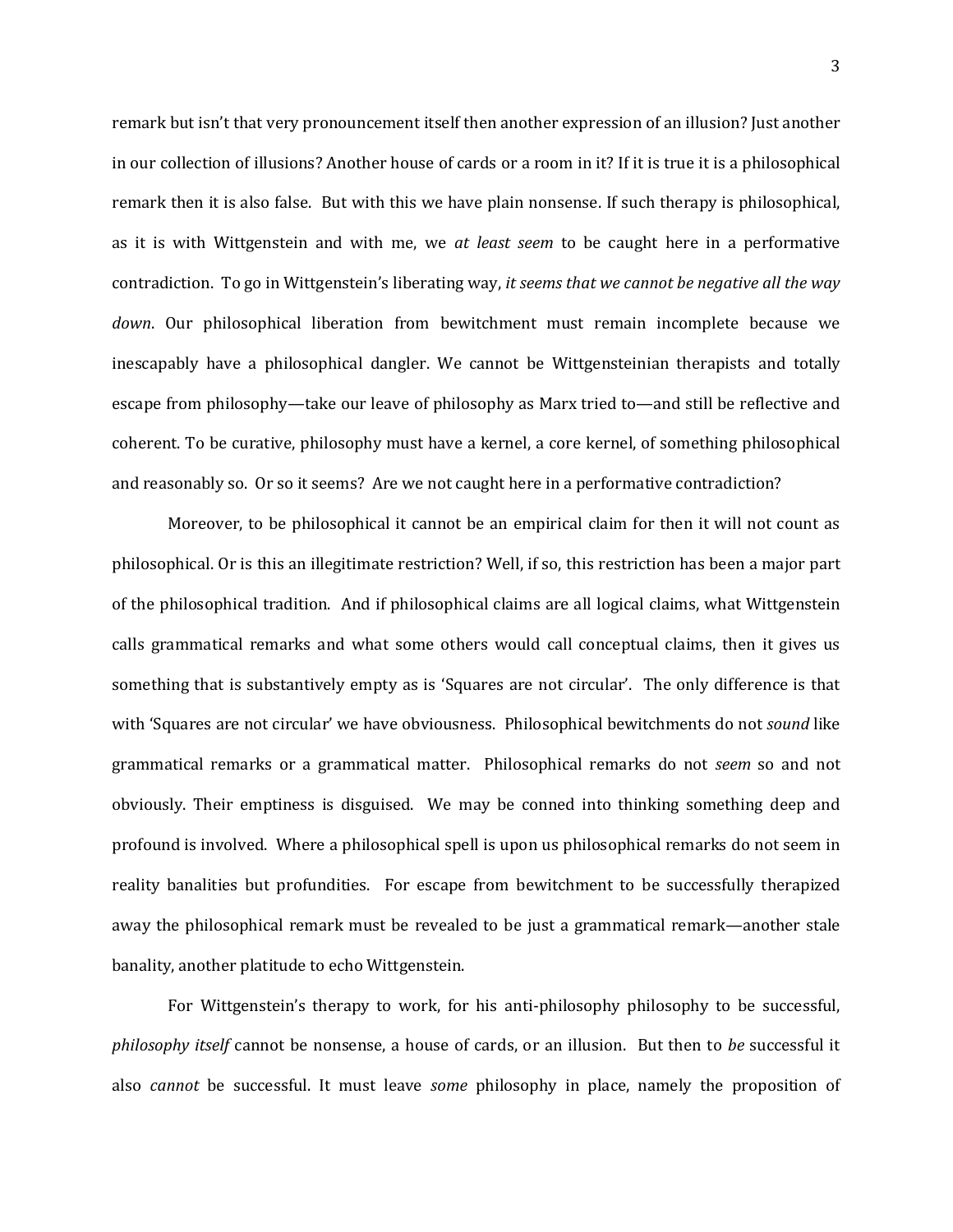remark but isn't that very pronouncement itself then another expression of an illusion? Just another in our collection of illusions? Another house of cards or a room in it? If it is true it is a philosophical remark then it is also false. But with this we have plain nonsense. If such therapy is philosophical, as it is with Wittgenstein and with me, we *at least seem* to be caught here in a performative contradiction. To go in Wittgenstein's liberating way, *it seems that we cannot be negative all the way down*. Our philosophical liberation from bewitchment must remain incomplete because we inescapably have a philosophical dangler. We cannot be Wittgensteinian therapists and totally escape from philosophy—take our leave of philosophy as Marx tried to—and still be reflective and coherent. To be curative, philosophy must have a kernel, a core kernel, of something philosophical and reasonably so. Or so it seems? Are we not caught here in a performative contradiction?

Moreover, to be philosophical it cannot be an empirical claim for then it will not count as philosophical. Or is this an illegitimate restriction? Well, if so, this restriction has been a major part of the philosophical tradition. And if philosophical claims are all logical claims, what Wittgenstein calls grammatical remarks and what some others would call conceptual claims, then it gives us something that is substantively empty as is 'Squares are not circular'. The only difference is that with 'Squares are not circular' we have obviousness. Philosophical bewitchments do not *sound* like grammatical remarks or a grammatical matter. Philosophical remarks do not *seem* so and not obviously. Their emptiness is disguised. We may be conned into thinking something deep and profound is involved. Where a philosophical spell is upon us philosophical remarks do not seem in reality banalities but profundities. For escape from bewitchment to be successfully therapized away the philosophical remark must be revealed to be just a grammatical remark—another stale banality, another platitude to echo Wittgenstein.

For Wittgenstein's therapy to work, for his anti-philosophy philosophy to be successful, *philosophy itself* cannot be nonsense, a house of cards, or an illusion. But then to *be* successful it also *cannot* be successful. It must leave *some* philosophy in place, namely the proposition of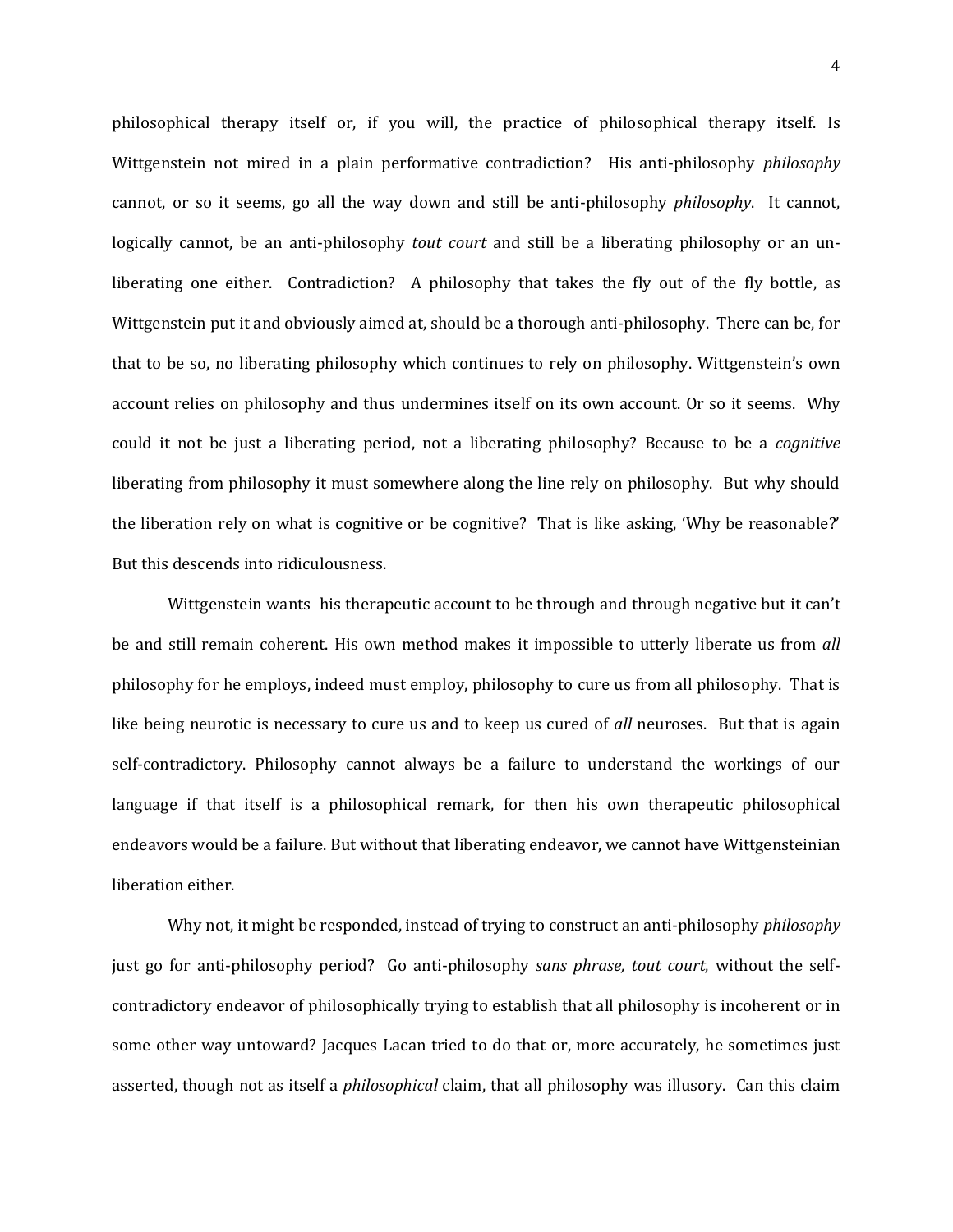philosophical therapy itself or, if you will, the practice of philosophical therapy itself. Is Wittgenstein not mired in a plain performative contradiction? His anti-philosophy *philosophy* cannot, or so it seems, go all the way down and still be anti-philosophy *philosophy*. It cannot, logically cannot, be an anti-philosophy *tout court* and still be a liberating philosophy or an unliberating one either. Contradiction? A philosophy that takes the fly out of the fly bottle, as Wittgenstein put it and obviously aimed at, should be a thorough anti-philosophy. There can be, for that to be so, no liberating philosophy which continues to rely on philosophy. Wittgenstein's own account relies on philosophy and thus undermines itself on its own account. Or so it seems. Why could it not be just a liberating period, not a liberating philosophy? Because to be a *cognitive* liberating from philosophy it must somewhere along the line rely on philosophy. But why should the liberation rely on what is cognitive or be cognitive? That is like asking, 'Why be reasonable?' But this descends into ridiculousness.

Wittgenstein wants his therapeutic account to be through and through negative but it can't be and still remain coherent. His own method makes it impossible to utterly liberate us from *all*  philosophy for he employs, indeed must employ, philosophy to cure us from all philosophy. That is like being neurotic is necessary to cure us and to keep us cured of *all* neuroses. But that is again self-contradictory. Philosophy cannot always be a failure to understand the workings of our language if that itself is a philosophical remark, for then his own therapeutic philosophical endeavors would be a failure. But without that liberating endeavor, we cannot have Wittgensteinian liberation either.

Why not, it might be responded, instead of trying to construct an anti-philosophy *philosophy* just go for anti-philosophy period? Go anti-philosophy *sans phrase, tout court*, without the selfcontradictory endeavor of philosophically trying to establish that all philosophy is incoherent or in some other way untoward? Jacques Lacan tried to do that or, more accurately, he sometimes just asserted, though not as itself a *philosophical* claim, that all philosophy was illusory. Can this claim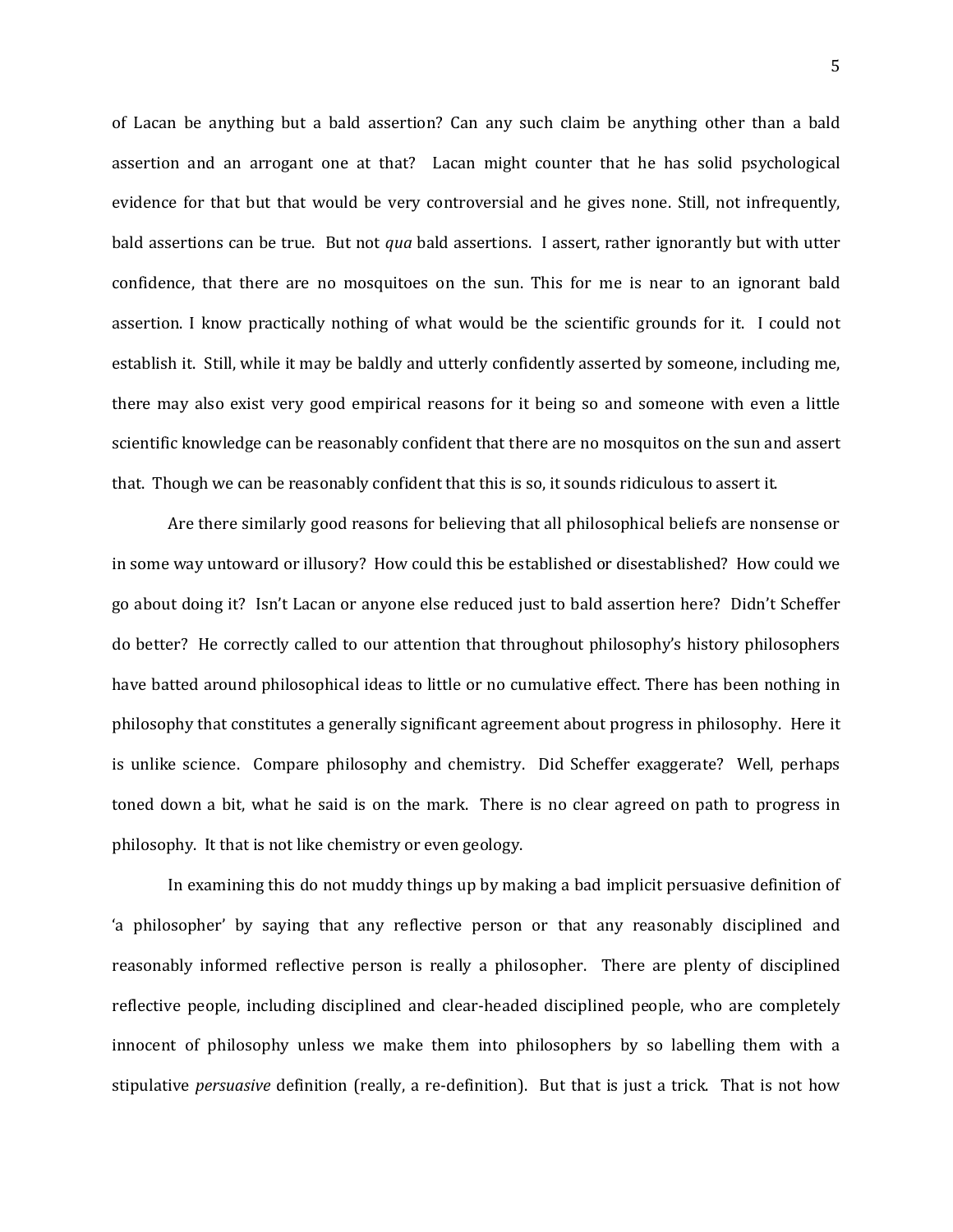of Lacan be anything but a bald assertion? Can any such claim be anything other than a bald assertion and an arrogant one at that? Lacan might counter that he has solid psychological evidence for that but that would be very controversial and he gives none. Still, not infrequently, bald assertions can be true. But not *qua* bald assertions. I assert, rather ignorantly but with utter confidence, that there are no mosquitoes on the sun. This for me is near to an ignorant bald assertion. I know practically nothing of what would be the scientific grounds for it. I could not establish it. Still, while it may be baldly and utterly confidently asserted by someone, including me, there may also exist very good empirical reasons for it being so and someone with even a little scientific knowledge can be reasonably confident that there are no mosquitos on the sun and assert that. Though we can be reasonably confident that this is so, it sounds ridiculous to assert it.

Are there similarly good reasons for believing that all philosophical beliefs are nonsense or in some way untoward or illusory? How could this be established or disestablished? How could we go about doing it? Isn't Lacan or anyone else reduced just to bald assertion here? Didn't Scheffer do better? He correctly called to our attention that throughout philosophy's history philosophers have batted around philosophical ideas to little or no cumulative effect. There has been nothing in philosophy that constitutes a generally significant agreement about progress in philosophy. Here it is unlike science. Compare philosophy and chemistry. Did Scheffer exaggerate? Well, perhaps toned down a bit, what he said is on the mark. There is no clear agreed on path to progress in philosophy. It that is not like chemistry or even geology.

In examining this do not muddy things up by making a bad implicit persuasive definition of 'a philosopher' by saying that any reflective person or that any reasonably disciplined and reasonably informed reflective person is really a philosopher. There are plenty of disciplined reflective people, including disciplined and clear-headed disciplined people, who are completely innocent of philosophy unless we make them into philosophers by so labelling them with a stipulative *persuasive* definition (really, a re-definition). But that is just a trick. That is not how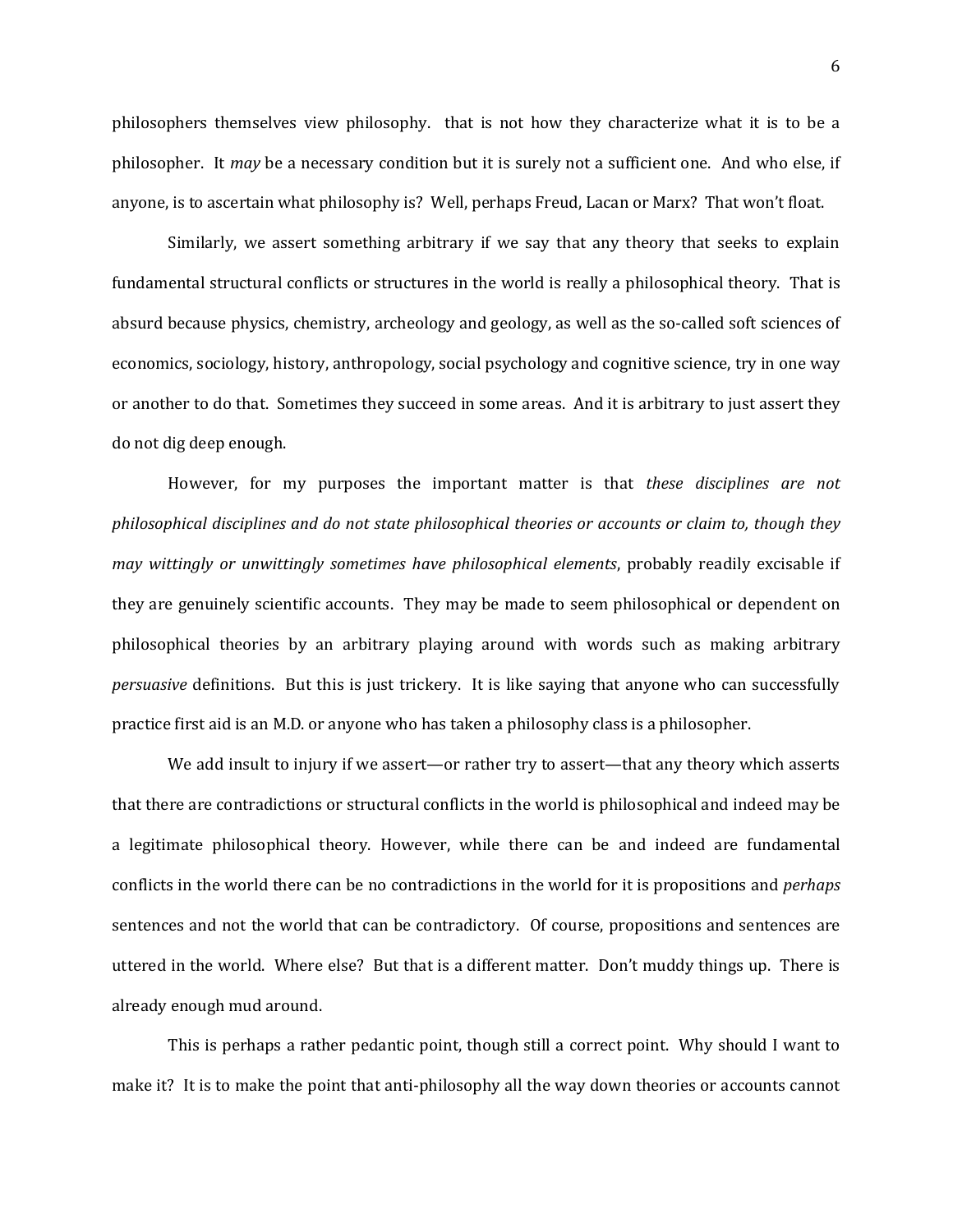philosophers themselves view philosophy. that is not how they characterize what it is to be a philosopher. It *may* be a necessary condition but it is surely not a sufficient one. And who else, if anyone, is to ascertain what philosophy is? Well, perhaps Freud, Lacan or Marx? That won't float.

Similarly, we assert something arbitrary if we say that any theory that seeks to explain fundamental structural conflicts or structures in the world is really a philosophical theory. That is absurd because physics, chemistry, archeology and geology, as well as the so-called soft sciences of economics, sociology, history, anthropology, social psychology and cognitive science, try in one way or another to do that. Sometimes they succeed in some areas. And it is arbitrary to just assert they do not dig deep enough.

However, for my purposes the important matter is that *these disciplines are not philosophical disciplines and do not state philosophical theories or accounts or claim to, though they may wittingly or unwittingly sometimes have philosophical elements*, probably readily excisable if they are genuinely scientific accounts. They may be made to seem philosophical or dependent on philosophical theories by an arbitrary playing around with words such as making arbitrary *persuasive* definitions. But this is just trickery. It is like saying that anyone who can successfully practice first aid is an M.D. or anyone who has taken a philosophy class is a philosopher.

We add insult to injury if we assert—or rather try to assert—that any theory which asserts that there are contradictions or structural conflicts in the world is philosophical and indeed may be a legitimate philosophical theory. However, while there can be and indeed are fundamental conflicts in the world there can be no contradictions in the world for it is propositions and *perhaps* sentences and not the world that can be contradictory. Of course, propositions and sentences are uttered in the world. Where else? But that is a different matter. Don't muddy things up. There is already enough mud around.

This is perhaps a rather pedantic point, though still a correct point. Why should I want to make it? It is to make the point that anti-philosophy all the way down theories or accounts cannot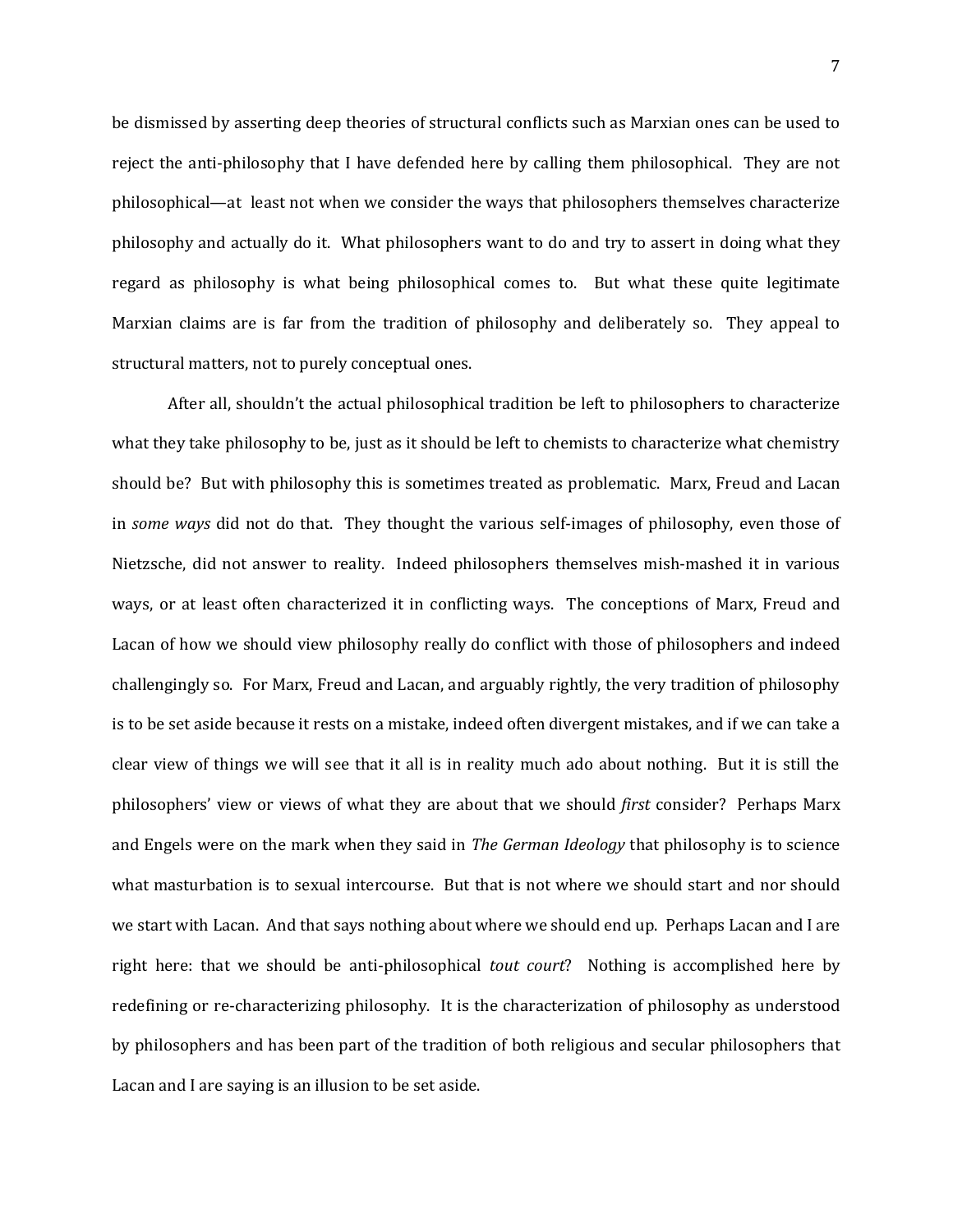be dismissed by asserting deep theories of structural conflicts such as Marxian ones can be used to reject the anti-philosophy that I have defended here by calling them philosophical. They are not philosophical—at least not when we consider the ways that philosophers themselves characterize philosophy and actually do it. What philosophers want to do and try to assert in doing what they regard as philosophy is what being philosophical comes to. But what these quite legitimate Marxian claims are is far from the tradition of philosophy and deliberately so. They appeal to structural matters, not to purely conceptual ones.

After all, shouldn't the actual philosophical tradition be left to philosophers to characterize what they take philosophy to be, just as it should be left to chemists to characterize what chemistry should be? But with philosophy this is sometimes treated as problematic. Marx, Freud and Lacan in *some ways* did not do that. They thought the various self-images of philosophy, even those of Nietzsche, did not answer to reality. Indeed philosophers themselves mish-mashed it in various ways, or at least often characterized it in conflicting ways. The conceptions of Marx, Freud and Lacan of how we should view philosophy really do conflict with those of philosophers and indeed challengingly so. For Marx, Freud and Lacan, and arguably rightly, the very tradition of philosophy is to be set aside because it rests on a mistake, indeed often divergent mistakes, and if we can take a clear view of things we will see that it all is in reality much ado about nothing. But it is still the philosophers' view or views of what they are about that we should *first* consider? Perhaps Marx and Engels were on the mark when they said in *The German Ideology* that philosophy is to science what masturbation is to sexual intercourse. But that is not where we should start and nor should we start with Lacan. And that says nothing about where we should end up. Perhaps Lacan and I are right here: that we should be anti-philosophical *tout court*? Nothing is accomplished here by redefining or re-characterizing philosophy. It is the characterization of philosophy as understood by philosophers and has been part of the tradition of both religious and secular philosophers that Lacan and I are saying is an illusion to be set aside.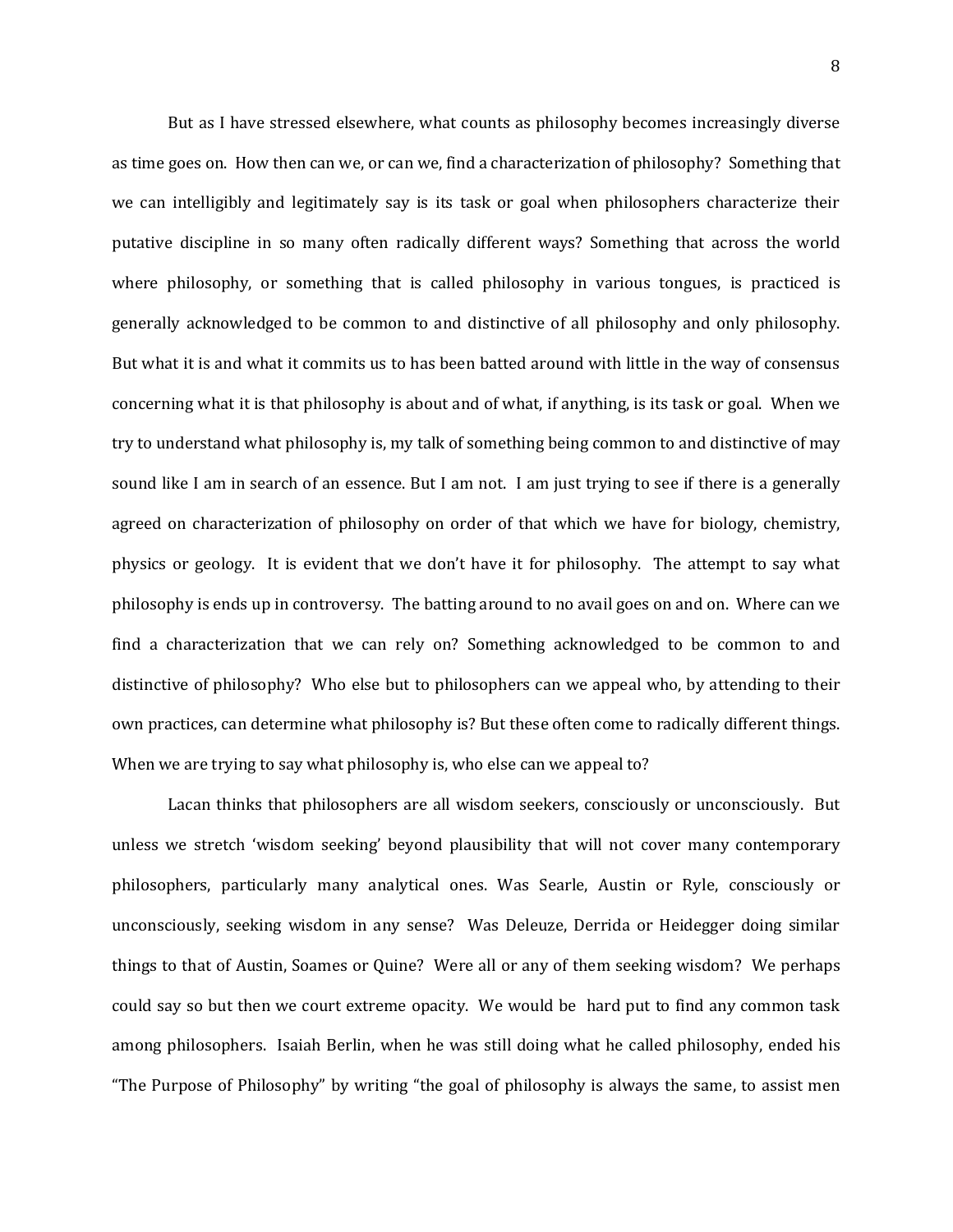But as I have stressed elsewhere, what counts as philosophy becomes increasingly diverse as time goes on. How then can we, or can we, find a characterization of philosophy? Something that we can intelligibly and legitimately say is its task or goal when philosophers characterize their putative discipline in so many often radically different ways? Something that across the world where philosophy, or something that is called philosophy in various tongues, is practiced is generally acknowledged to be common to and distinctive of all philosophy and only philosophy. But what it is and what it commits us to has been batted around with little in the way of consensus concerning what it is that philosophy is about and of what, if anything, is its task or goal. When we try to understand what philosophy is, my talk of something being common to and distinctive of may sound like I am in search of an essence. But I am not. I am just trying to see if there is a generally agreed on characterization of philosophy on order of that which we have for biology, chemistry, physics or geology. It is evident that we don't have it for philosophy. The attempt to say what philosophy is ends up in controversy. The batting around to no avail goes on and on. Where can we find a characterization that we can rely on? Something acknowledged to be common to and distinctive of philosophy? Who else but to philosophers can we appeal who, by attending to their own practices, can determine what philosophy is? But these often come to radically different things. When we are trying to say what philosophy is, who else can we appeal to?

Lacan thinks that philosophers are all wisdom seekers, consciously or unconsciously. But unless we stretch 'wisdom seeking' beyond plausibility that will not cover many contemporary philosophers, particularly many analytical ones. Was Searle, Austin or Ryle, consciously or unconsciously, seeking wisdom in any sense? Was Deleuze, Derrida or Heidegger doing similar things to that of Austin, Soames or Quine? Were all or any of them seeking wisdom? We perhaps could say so but then we court extreme opacity. We would be hard put to find any common task among philosophers. Isaiah Berlin, when he was still doing what he called philosophy, ended his "The Purpose of Philosophy" by writing "the goal of philosophy is always the same, to assist men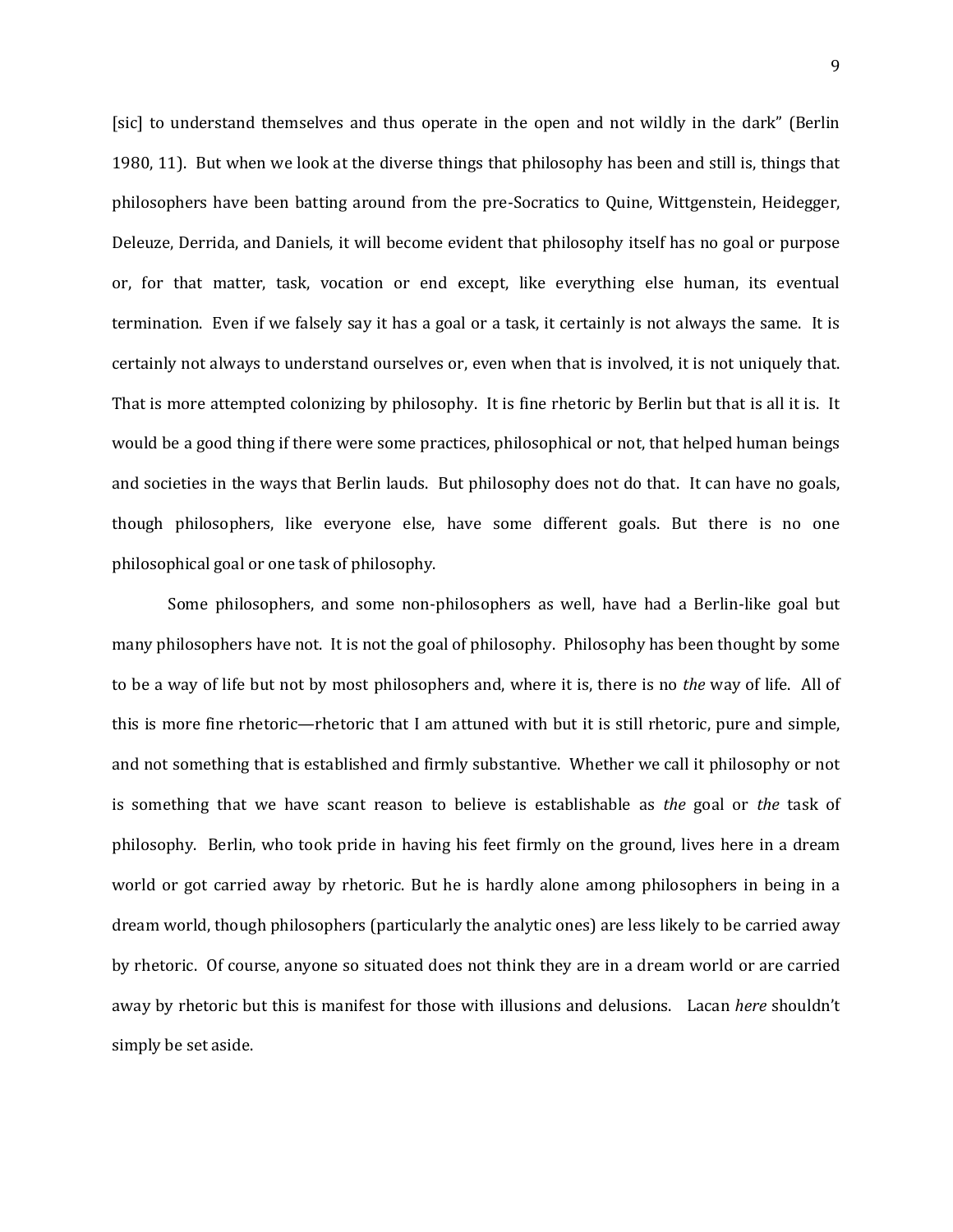[sic] to understand themselves and thus operate in the open and not wildly in the dark" (Berlin 1980, 11). But when we look at the diverse things that philosophy has been and still is, things that philosophers have been batting around from the pre-Socratics to Quine, Wittgenstein, Heidegger, Deleuze, Derrida, and Daniels, it will become evident that philosophy itself has no goal or purpose or, for that matter, task, vocation or end except, like everything else human, its eventual termination. Even if we falsely say it has a goal or a task, it certainly is not always the same. It is certainly not always to understand ourselves or, even when that is involved, it is not uniquely that. That is more attempted colonizing by philosophy. It is fine rhetoric by Berlin but that is all it is. It would be a good thing if there were some practices, philosophical or not, that helped human beings and societies in the ways that Berlin lauds. But philosophy does not do that. It can have no goals, though philosophers, like everyone else, have some different goals. But there is no one philosophical goal or one task of philosophy.

Some philosophers, and some non-philosophers as well, have had a Berlin-like goal but many philosophers have not. It is not the goal of philosophy. Philosophy has been thought by some to be a way of life but not by most philosophers and, where it is, there is no *the* way of life. All of this is more fine rhetoric—rhetoric that I am attuned with but it is still rhetoric, pure and simple, and not something that is established and firmly substantive. Whether we call it philosophy or not is something that we have scant reason to believe is establishable as *the* goal or *the* task of philosophy. Berlin, who took pride in having his feet firmly on the ground, lives here in a dream world or got carried away by rhetoric. But he is hardly alone among philosophers in being in a dream world, though philosophers (particularly the analytic ones) are less likely to be carried away by rhetoric. Of course, anyone so situated does not think they are in a dream world or are carried away by rhetoric but this is manifest for those with illusions and delusions. Lacan *here* shouldn't simply be set aside.